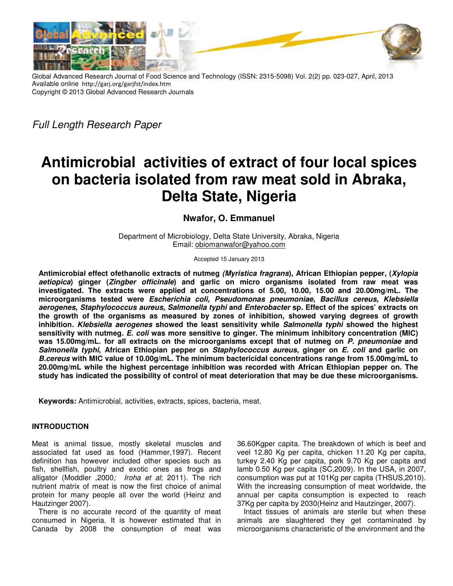

Global Advanced Research Journal of Food Science and Technology (ISSN: 2315-5098) Vol. 2(2) pp. 023-027, April, 2013 Available online http://garj.org/garjfst/index.htm http://garj.org/garjfst/index.htm Copyright © 2013 Global Advanced Research Journals Global Advanced

Full Length Research Paper

# **Antimicrobial activities of extract of four local spices on bacteria isolated from raw meat sold in Abraka, Delta State, Nigeria** microbial activities of extract of four loc<br>bacteria isolated from raw meat sold in<br>Delta State, Nigeria

## **Nwafor, O. Emmanuel**

Department of Microbiology, Delta State University, Abraka, Nigeria<br>Email: <u>obiomanwafor@yahoo.com</u>

Accepted 15 January 2013

Antimicrobial effect ofethanolic extracts of nutmeg *(Myristica fragrans*), African Ethiopian pepper, (*Xylopia* **aetiopica) ginger (Zingber officinale ) and garlic on micro organisms isolated from raw meat was from investigated. The extracts were applied at concentrations of 5.00, 10.00, 15.00 and 20.00mg/mL. The at 5.00, The microorganisms tested were Escher Escherichia coli, Pseudomonas pneumoniae, Bacillus cereus, Klebsiella ichia Bacillus Klebsiella aerogenes, Staphylococcus aureus, Salmonella typhi typhi and Enterobacter sp. Effect of the spices' extracts on**  *aerogenes, Staphylococcus aureus, Salmonella typhi* and *Enterobacter* sp. Effect of the spices' extracts on<br>the growth of the organisms as measured by zones of inhibition, showed varying degrees of growth the growth of the organisms as measured by zones of inhibition, showed varying degrees of growth<br>inhibition*. Klebsiella aerogenes* showed the least sensitivity while *Salmonella typhi* showed the highest **sensitivity with nutmeg. E. coli was more sensitive to ginger. The minimum inhibitory concentration (MIC)**  sensitivity with nutmeg. *E. coli* was more sensitive to ginger. The minimum inhibitory concentration (MIC)<br>was 15.00mg/mL. for all extracts on the microorganisms except that of nutmeg on *P. pneumoniae* and **Salmonella typhi, African Ethiopian pepper on Staphylococcus aureus, ginger on , ginger E. coli and garlic on B.cereus with MIC value of 10.00g/mL. The minimum bactericidal concentrations range from 15. 15.00mg/mL to 20.00mg/mL while the highest percentage inhibition was recorded with African Ethiopian pepper on. The study has indicated the possibility of control of meat deterioration that may be due these microorganisms.** MIC value of 10.00g/mL. The minimum bactericidal concentrations range from 15.00mg/mL to<br>rhile the highest percentage inhibition was recorded with African Ethiopian pepper on. The<br>cated the possibility of control of meat d

**Keywords:** Antimicrobial, activities, extracts, spices, bacteria, meat.

### **INTRODUCTION**

Meat is animal tissue, mostly skeletal muscles and associated fat used as food (Hammer,1997). Recent definition has however included other species such as fish, shellfish, poultry and exotic ones as frogs and alligator (Moddler ,2000; Iroha et al; 2011). The rich nutrient matrix of meat is now the first choice of animal protein for many people all over the world (Heinz and Hautzinger 2007). Meat is animal tissue, mostly skeletal muscles and associated fat used as food (Hammer,1997). Recent definition has however included other species such as fish, shellfish, poultry and exotic ones as frogs and alligator (Mo

There is no accurate record of the quantity of meat consumed in Nigeria. It is however estimated that in Canada by 2008 the consumption of meat was

al tissue, mostly skeletal muscles and 36.60Kgper capita. The breakdown of which is beef and used as food (Hammer,1997). Recent veel 12.80 Kg per capita, chicken 11.20 Kg per capita, however included other species such as veel 12.80 Kg per capita, chicken 11.20 Kg per capita, turkey 2.40 Kg per capita, pork 9.70 Kg per capita and lamb 0.50 Kg per capita (SC,2009). In the USA, in 2007, consumption was put at 101Kg per capita (THSUS,2010). With the increasing consumption of meat worldwide, the annual per capita consumption is expected to reach 37Kg per capita by 2030(Heinz and Hautzinger, 2007). 36.60Kgper capita. The breakdown of which is beef and<br>veel 12.80 Kg per capita, chicken 11.20 Kg per capita,<br>turkey 2.40 Kg per capita, pork 9.70 Kg per capita and<br>lamb 0.50 Kg per capita (SC,2009). In the USA, in 2007,<br>co

Intact tissues of animals are sterile but when these animals are slaughtered they get contaminated by microorganisms characteristic of the environment and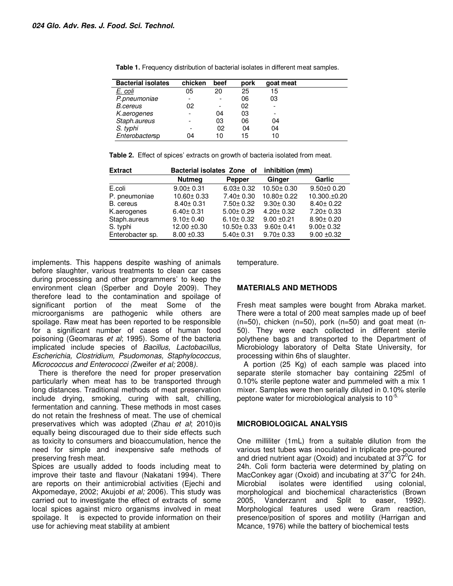| <b>Bacterial isolates</b> | chicken                  | beef           | pork | goat meat |  |
|---------------------------|--------------------------|----------------|------|-----------|--|
| E. coli                   | 05                       | 20             | 25   | 15        |  |
| P.pneumoniae              | $\overline{\phantom{a}}$ | $\overline{a}$ | 06   | 03        |  |
| <i>B.cereus</i>           | 02                       | -              | 02   |           |  |
| K.aerogenes               | $\overline{\phantom{a}}$ | 04             | 03   | -         |  |
| Staph.aureus              |                          | 03             | 06   | 04        |  |
| S. typhi                  |                          | 02             | 04   | 04        |  |
| Enterobactersp            | 04                       | 10             | 15   | 10        |  |

**Table 1.** Frequency distribution of bacterial isolates in different meat samples.

|  |  | Table 2. Effect of spices' extracts on growth of bacteria isolated from meat. |
|--|--|-------------------------------------------------------------------------------|
|--|--|-------------------------------------------------------------------------------|

| <b>Extract</b>   | Bacterial isolates Zone of |                  | inhibition (mm)  |                 |
|------------------|----------------------------|------------------|------------------|-----------------|
|                  | <b>Nutmeg</b>              | <b>Pepper</b>    | Ginger           | Garlic          |
| E.coli           | $9.00 \pm 0.31$            | $6.03 \pm 0.32$  | $10.50 \pm 0.30$ | $9.50\pm0.20$   |
| P. pneumoniae    | $10.60 \pm 0.33$           | $7.40 \pm 0.30$  | $10.80 \pm 0.22$ | 10.300.±0.20    |
| B. cereus        | $8.40 \pm 0.31$            | $7.50 \pm 0.32$  | $9.30 \pm 0.30$  | $8.40 \pm 0.22$ |
| K.aerogenes      | $6.40 \pm 0.31$            | $5.00 \pm 0.29$  | $4.20 \pm 0.32$  | $7.20 \pm 0.33$ |
| Staph.aureus     | $9.10 \pm 0.40$            | $6.10 \pm 0.32$  | $9.00 + 0.21$    | $8.90 \pm 0.20$ |
| S. typhi         | $12.00 \pm 0.30$           | $10.50 \pm 0.33$ | $9.60 \pm 0.41$  | $9.00 \pm 0.32$ |
| Enterobacter sp. | $8.00 \pm 0.33$            | $5.40 \pm 0.31$  | $9.70 \pm 0.33$  | $9.00 \pm 0.32$ |

implements. This happens despite washing of animals before slaughter, various treatments to clean car cases during processing and other programmers' to keep the environment clean (Sperber and Doyle 2009). They therefore lead to the contamination and spoilage of significant portion of the meat Some of the microorganisms are pathogenic while others are spoilage. Raw meat has been reported to be responsible for a significant number of cases of human food poisoning (Geomaras et al; 1995). Some of the bacteria implicated include species of Bacillus, Lactobacillus, Escherichia, Clostridium, Psudomonas, Staphylococcus, Micrococcus and Enterococci (Zweifer et al; 2008).

There is therefore the need for proper preservation particularly when meat has to be transported through long distances. Traditional methods of meat preservation include drying, smoking, curing with salt, chilling, fermentation and canning. These methods in most cases do not retain the freshness of meat. The use of chemical preservatives which was adopted (Zhau et al; 2010)is equally being discouraged due to their side effects such as toxicity to consumers and bioaccumulation, hence the need for simple and inexpensive safe methods of preserving fresh meat.

Spices are usually added to foods including meat to improve their taste and flavour (Nakatani 1994). There are reports on their antimicrobial activities (Ejechi and Akpomedaye, 2002; Akujobi et al; 2006). This study was carried out to investigate the effect of extracts of some local spices against micro organisms involved in meat spoilage. It is expected to provide information on their use for achieving meat stability at ambient

temperature.

### **MATERIALS AND METHODS**

Fresh meat samples were bought from Abraka market. There were a total of 200 meat samples made up of beef  $(n=50)$ , chicken  $(n=50)$ , pork  $(n=50)$  and goat meat  $(n-50)$ 50). They were each collected in different sterile polythene bags and transported to the Department of Microbiology laboratory of Delta State University, for processing within 6hs of slaughter.

A portion (25 Kg) of each sample was placed into separate sterile stomacher bay containing 225ml of 0.10% sterile peptone water and pummeled with a mix 1 mixer. Samples were then serially diluted in 0.10% sterile peptone water for microbiological analysis to 10<sup>-5.</sup>

#### **MICROBIOLOGICAL ANALYSIS**

One milliliter (1mL) from a suitable dilution from the various test tubes was inoculated in triplicate pre-poured and dried nutrient agar (Oxoid) and incubated at  $37^0C$  for 24h. Coli form bacteria were determined by plating on MacConkey agar (Oxoid) and incubating at  $37^{\circ}$ C for 24h. Microbial isolates were identified using colonial, morphological and biochemical characteristics (Brown 2005, Vanderzannt and Split to easer, 1992). Morphological features used were Gram reaction, presence/position of spores and motility (Harrigan and Mcance, 1976) while the battery of biochemical tests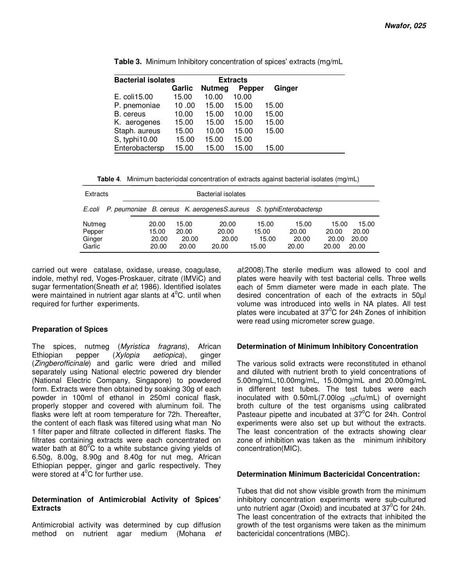| <b>Bacterial isolates</b> | <b>Extracts</b> |               |               |        |
|---------------------------|-----------------|---------------|---------------|--------|
|                           | Garlic          | <b>Nutmeg</b> | <b>Pepper</b> | Ginger |
| E. coli15.00              | 15.00           | 10.00         | 10.00         |        |
| P. pnemoniae              | 10.00           | 15.00         | 15.00         | 15.00  |
| B. cereus                 | 10.00           | 15.00         | 10.00         | 15.00  |
| K. aerogenes              | 15.00           | 15.00         | 15.00         | 15.00  |
| Staph. aureus             | 15.00           | 10.00         | 15.00         | 15.00  |
| S, typhi10.00             | 15.00           | 15.00         | 15.00         |        |
| Enterobactersp            | 15.00           | 15.00         | 15.00         | 15.00  |

**Table 3.** Minimum Inhibitory concentration of spices' extracts (mg/mL

**Table 4**. Minimum bactericidal concentration of extracts against bacterial isolates (mg/mL)

| Extracts                             | Bacterial isolates               |                                  |                                                                           |                                  |                                  |                                  |                                  |
|--------------------------------------|----------------------------------|----------------------------------|---------------------------------------------------------------------------|----------------------------------|----------------------------------|----------------------------------|----------------------------------|
|                                      |                                  |                                  | E.coli P. peumoniae B. cereus K. aerogenesS.aureus S. typhiEnterobactersp |                                  |                                  |                                  |                                  |
| Nutmeg<br>Pepper<br>Ginger<br>Garlic | 20.00<br>15.00<br>20.00<br>20.00 | 15.00<br>20.00<br>20.00<br>20.00 | 20.00<br>20.00<br>20.00<br>20.00                                          | 15.00<br>15.00<br>15.00<br>15.00 | 15.00<br>20.00<br>20.00<br>20.00 | 15.00<br>20.00<br>20.00<br>20.00 | 15.00<br>20.00<br>20.00<br>20.00 |

carried out were catalase, oxidase, urease, coagulase, indole, methyl red, Voges-Proskauer, citrate (IMViC) and sugar fermentation(Sneath et al; 1986). Identified isolates were maintained in nutrient agar slants at  $4^0C$ . until when required for further experiments.

### **Preparation of Spices**

The spices, nutmeg (Myristica fragrans), African Ethiopian pepper (Xylopia aetiopica), ginger (Zingberofficinale) and garlic were dried and milled separately using National electric powered dry blender (National Electric Company, Singapore) to powdered form. Extracts were then obtained by soaking 30g of each powder in 100ml of ethanol in 250ml conical flask, properly stopper and covered with aluminum foil. The flasks were left at room temperature for 72h. Thereafter, the content of each flask was filtered using what man No 1 filter paper and filtrate collected in different flasks. The filtrates containing extracts were each concentrated on water bath at  $80^{\circ}$ C to a white substance giving yields of 6.50g, 8.00g, 8.90g and 8.40g for nut meg, African Ethiopian pepper, ginger and garlic respectively. They were stored at 4<sup>°</sup>C for further use.

### **Determination of Antimicrobial Activity of Spices' Extracts**

Antimicrobial activity was determined by cup diffusion method on nutrient agar medium (Mohana et al: 2008). The sterile medium was allowed to cool and plates were heavily with test bacterial cells. Three wells each of 5mm diameter were made in each plate. The desired concentration of each of the extracts in 50µl volume was introduced into wells in NA plates. All test plates were incubated at  $37^{\circ}$ C for 24h Zones of inhibition were read using micrometer screw guage.

### **Determination of Minimum Inhibitory Concentration**

The various solid extracts were reconstituted in ethanol and diluted with nutrient broth to yield concentrations of 5.00mg/mL,10.00mg/mL, 15.00mg/mL and 20.00mg/mL in different test tubes. The test tubes were each inoculated with  $0.50$ mL(7.00log  $_{10}$ cfu/mL) of overnight broth culture of the test organisms using calibrated Pasteaur pipette and incubated at  $37^{\circ}$ C for 24h. Control experiments were also set up but without the extracts. The least concentration of the extracts showing clear zone of inhibition was taken as the minimum inhibitory concentration(MIC).

### **Determination Minimum Bactericidal Concentration:**

Tubes that did not show visible growth from the minimum inhibitory concentration experiments were sub-cultured unto nutrient agar (Oxoid) and incubated at  $37^{\circ}$ C for 24h. The least concentration of the extracts that inhibited the growth of the test organisms were taken as the minimum bactericidal concentrations (MBC).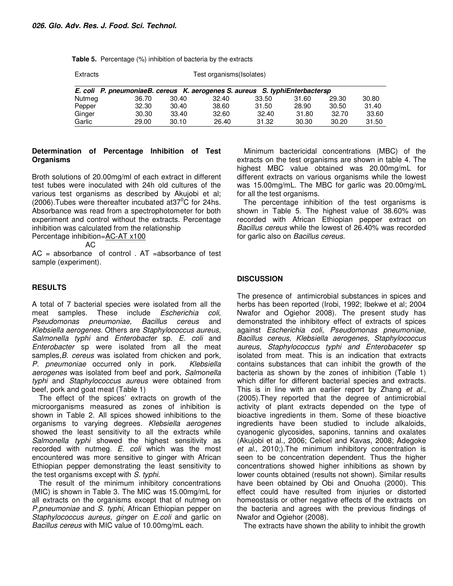**Table 5.** Percentage (%) inhibition of bacteria by the extracts

| Extracts | Test organisms (Isolates) |
|----------|---------------------------|
|----------|---------------------------|

|        | E. coli P. pneumoniaeB. cereus K. aerogenes S. aureus S. typhiEnterbactersp |       |       |       |       |       |       |
|--------|-----------------------------------------------------------------------------|-------|-------|-------|-------|-------|-------|
| Nutmea | 36.70                                                                       | 30.40 | 32.40 | 33.50 | 31.60 | 29.30 | 30.80 |
| Pepper | 32.30                                                                       | 30.40 | 38.60 | 31.50 | 28.90 | 30.50 | 31.40 |
| Ginger | 30.30                                                                       | 33.40 | 32.60 | 32.40 | 31.80 | 32.70 | 33.60 |
| Garlic | 29.00                                                                       | 30.10 | 26.40 | 31.32 | 30.30 | 30.20 | 31.50 |

#### **Determination of Percentage Inhibition of Test Organisms**

Broth solutions of 20.00mg/ml of each extract in different test tubes were inoculated with 24h old cultures of the various test organisms as described by Akujobi et al; (2006). Tubes were thereafter incubated at  $37^{\circ}$ C for 24hs. Absorbance was read from a spectrophotometer for both experiment and control without the extracts. Percentage inhibition was calculated from the relationship

Percentage inhibition=AC-AT x100

 $AC$ 

 $AC = absorbance$  of control .  $AT = absorbance$  of test sample (experiment).

### **RESULTS**

A total of 7 bacterial species were isolated from all the meat samples. These include *Escherichia coli.* meat samples. These include Escherichia coli, Pseudomonas pneumoniae, Bacillus cereus and Klebsiella aerogenes. Others are Staphylococcus aureus, Salmonella typhi and Enterobacter sp. E. coli and Enterobacter sp were isolated from all the meat samples, B. cereus was isolated from chicken and pork. P. pneumoniae occurred only in pork. Klebsiella aerogenes was isolated from beef and pork, Salmonella typhi and Staphylococcus aureus were obtained from beef, pork and goat meat (Table 1)

The effect of the spices' extracts on growth of the microorganisms measured as zones of inhibition is shown in Table 2. All spices showed inhibitions to the organisms to varying degrees. Klebsiella aerogenes showed the least sensitivity to all the extracts while Salmonella typhi showed the highest sensitivity as recorded with nutmeg. E. coli which was the most encountered was more sensitive to ginger with African Ethiopian pepper demonstrating the least sensitivity to the test organisms except with S. typhi.

The result of the minimum inhibitory concentrations (MIC) is shown in Table 3. The MIC was 15.00mg/mL for all extracts on the organisms except that of nutmeg on P.pneumoniae and S. typhi, African Ethiopian pepper on Staphylococcus aureus, ginger on E.coli and garlic on Bacillus cereus with MIC value of 10.00mg/mL each.

Minimum bactericidal concentrations (MBC) of the extracts on the test organisms are shown in table 4. The highest MBC value obtained was 20.00mg/mL for different extracts on various organisms while the lowest was 15.00mg/mL. The MBC for garlic was 20.00mg/mL for all the test organisms.

The percentage inhibition of the test organisms is shown in Table 5. The highest value of 38.60% was recorded with African Ethiopian pepper extract on Bacillus cereus while the lowest of 26.40% was recorded for garlic also on Bacillus cereus.

### **DISCUSSION**

The presence of antimicrobial substances in spices and herbs has been reported (Irobi, 1992; Ibekwe et al; 2004 Nwafor and Ogiehor 2008). The present study has demonstrated the inhibitory effect of extracts of spices against Escherichia coli, Pseudomonas pneumoniae, Bacillus cereus, Klebsiella aerogenes, Staphylococcus aureus, Staphylococcus typhi and Enterobaceter sp isolated from meat. This is an indication that extracts contains substances that can inhibit the growth of the bacteria as shown by the zones of inhibition (Table 1) which differ for different bacterial species and extracts. This is in line with an earlier report by Zhang et al., (2005).They reported that the degree of antimicrobial activity of plant extracts depended on the type of bioactive ingredients in them. Some of these bioactive ingredients have been studied to include alkaloids, cyanogenic glycosides, saponins, tannins and oxalates (Akujobi et al., 2006; Celicel and Kavas, 2008; Adegoke et al., 2010;).The minimum inhibitory concentration is seen to be concentration dependent. Thus the higher concentrations showed higher inhibitions as shown by lower counts obtained (results not shown). Similar results have been obtained by Obi and Onuoha (2000). This effect could have resulted from injuries or distorted homeostasis or other negative effects of the extracts on the bacteria and agrees with the previous findings of Nwafor and Ogiehor (2008).

The extracts have shown the ability to inhibit the growth